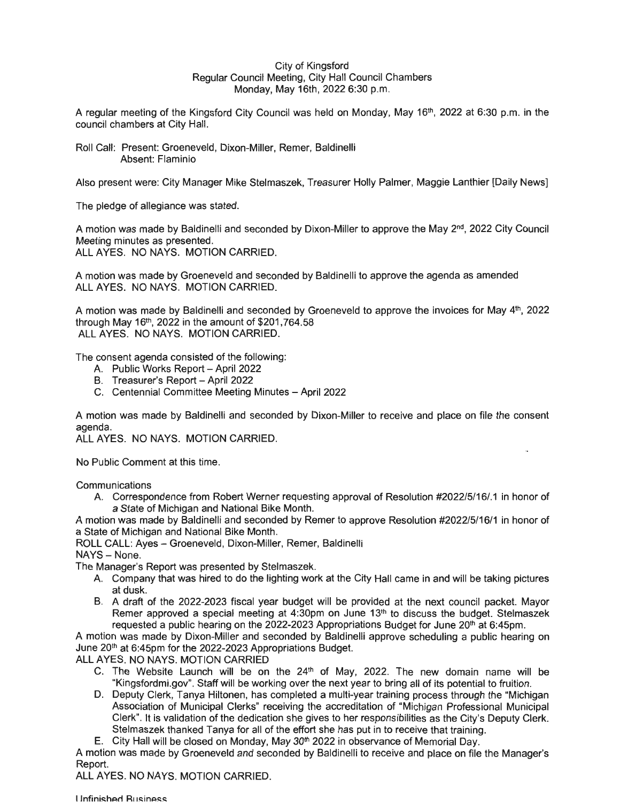## City of Kingsford Regular Council Meeting, City Hall Council Chambers Monday, May 16th, 2022 6:30 p.m.

A regular meeting of the Kingsford City Council was held on Monday, May 16th, 2022 at 6:30 p.m. in the council chambers at City Hall.

Roll Call: Present: Groeneveld, Dixon-Miller, Remer, Baldinelli Absent: Flaminio

Also present were: City Manager Mike Stelmaszek, Treasurer Holly Palmer, Maggie Lanthier [Daily News]

The pledge of allegiance was stated.

A motion was made by Baldinelli and seconded by Dixon-Miller to approve the May 2<sup>nd</sup>, 2022 City Council Meeting minutes as presented. ALL AYES. NO NAYS. MOTION CARRIED.

A motion was made by Groeneveld and seconded by Baldinelli to approve the agenda as amended **ALL AYES. NO NAYS. MOTION CARRIED.** 

A motion was made by Baldinelli and seconded by Groeneveld to approve the invoices for May 4<sup>th</sup>, 2022 through May 16<sup>th</sup>, 2022 in the amount of \$201,764.58 ALL AYES. NO NAYS. MOTION CARRIED.

The consent agenda consisted of the following:

- A. Public Works Report April 2022
- B. Treasurer's Report April 2022
- C. Centennial Committee Meeting Minutes April 2022

A motion was made by Baldinelli and seconded by Dixon-Miller to receive and place on file the consent agenda.

**ALL AYES. NO NAYS. MOTION CARRIED.** 

No Public Comment at this time.

**Communications** 

A. Correspondence from Robert Werner requesting approval of Resolution #2022/5/16/.1 in honor of a State of Michigan and National Bike Month.

A motion was made by Baldinelli and seconded by Remer to approve Resolution #2022/5/16/1 in honor of a State of Michigan and National Bike Month.

ROLL CALL: Ayes - Groeneveld, Dixon-Miller, Remer, Baldinelli

NAYS - None.

The Manager's Report was presented by Stelmaszek.

- A. Company that was hired to do the lighting work at the City Hall came in and will be taking pictures at dusk.
- B. A draft of the 2022-2023 fiscal year budget will be provided at the next council packet. Mayor Remer approved a special meeting at 4:30pm on June 13th to discuss the budget. Stelmaszek requested a public hearing on the 2022-2023 Appropriations Budget for June  $20<sup>th</sup>$  at 6:45pm.

A motion was made by Dixon-Miller and seconded by Baldinelli approve scheduling a public hearing on June 20<sup>th</sup> at 6:45pm for the 2022-2023 Appropriations Budget.

ALL AYES. NO NAYS. MOTION CARRIED

- C. The Website Launch will be on the  $24<sup>th</sup>$  of May, 2022. The new domain name will be "Kingsfordmi.gov". Staff will be working over the next year to bring all of its potential to fruition.
- D. Deputy Clerk, Tanya Hiltonen, has completed a multi-year training process through the "Michigan Association of Municipal Clerks" receiving the accreditation of "Michigan Professional Municipal Clerk". It is validation of the dedication she gives to her responsibilities as the City's Deputy Clerk. Stelmaszek thanked Tanya for all of the effort she has put in to receive that training.

E. City Hall will be closed on Monday, May 30th 2022 in observance of Memorial Day.

A motion was made by Groeneveld and seconded by Baldinelli to receive and place on file the Manager's Report.

ALL AYES. NO NAYS. MOTION CARRIED.

**Unfinished Business**